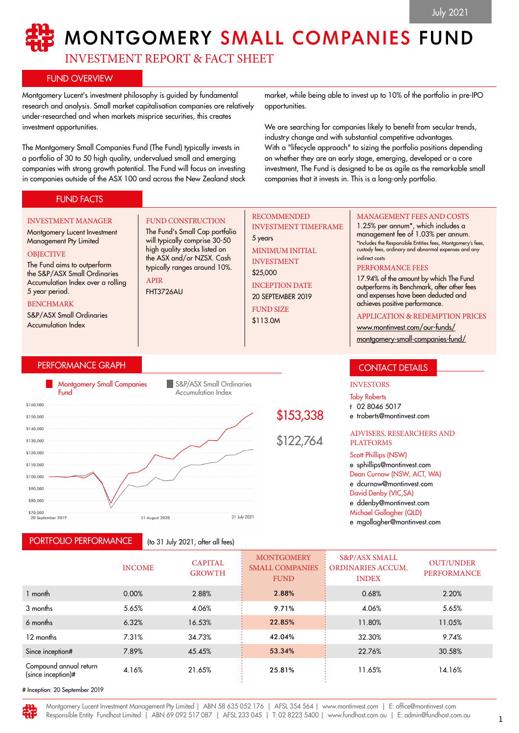# MONTGOMERY SMALL COMPANIES FUND

INVESTMENT REPORT & FACT SHEET

FUND CONSTRUCTION The Fund's Small Cap portfolio will typically comprise 30-50 high quality stocks listed on the ASX and/or NZSX. Cash typically ranges around 10%.

# FUND OVERVIEW

Montgomery Lucent's investment philosophy is guided by fundamental research and analysis. Small market capitalisation companies are relatively under-researched and when markets misprice securities, this creates investment opportunities.

The Montgomery Small Companies Fund (The Fund) typically invests in a portfolio of 30 to 50 high quality, undervalued small and emerging companies with strong growth potential. The Fund will focus on investing in companies outside of the ASX 100 and across the New Zealand stock

market, while being able to invest up to 10% of the portfolio in pre-IPO opportunities.

We are searching for companies likely to benefit from secular trends, industry change and with substantial competitive advantages. With a "lifecycle approach" to sizing the portfolio positions depending on whether they are an early stage, emerging, developed or a core investment, The Fund is designed to be as agile as the remarkable small companies that it invests in. This is a long-only portfolio.

# FUND FACTS

#### INVESTMENT MANAGER

#### Montgomery Lucent Investment Management Pty Limited

#### **OBJECTIVE**

The Fund aims to outperform the S&P/ASX Small Ordinaries Accumulation Index over a rolling 5 year period.

#### BENCHMARK

S&P/ASX Small Ordinaries Accumulation Index

# PERFORMANCE GRAPH



APIR FHT3726AU

PORTFOLIO PERFORMANCE

(to 31 July 2021, after all fees)

#### RECOMMENDED INVESTMENT TIMEFRAME

5 years MINIMUM INITIAL INVESTMENT \$25,000 INCEPTION DATE 20 SEPTEMBER 2019 FUND SIZE

\$153,338

\$122,764

\$113.0M

#### MANAGEMENT FEES AND COSTS

1.25% per annum\*, which includes a management fee of 1.03% per annum. \*Includes the Responsible Entities fees, Montgomery's fees, custody fees, ordinary and abnormal expenses and any indirect costs

#### PERFORMANCE FEES

17.94% of the amount by which The Fund outperforms its Benchmark, after other fees and expenses have been deducted and achieves positive performance.

#### APPLICATION & REDEMPTION PRICES

[www.montinvest.com/our-funds/](http://www.montinvest.com/our-funds/montgomery-small-companies-fund/) [montgomery-small-companies-fund/](http://www.montinvest.com/our-funds/montgomery-small-companies-fund/)

# CONTACT DETAILS

### INVESTORS

Toby Roberts

- t 02 8046 5017
- e troberts@montinvest.com

#### ADVISERS, RESEARCHERS AND PLATFORMS

Scott Phillips (NSW) e sphillips@montinvest.com Dean Curnow (NSW, ACT, WA) e dcurnow@montinvest.com David Denby (VIC,SA) e ddenby@montinvest.com Michael Gollagher (QLD) e mgollagher@montinvest.com

INCOME CAPITAL GROWTH **MONTGOMERY** SMALL COMPANIES FUND S&P/ASX SMALL ORDINARIES ACCUM. INDEX OUT/UNDER PERFORMANCE 1 month 0.00% 2.88% 2.88% 0.68% 2.20% 3 months 5.65% 4.06% 9.71% 4.06% 5.65% 6 months 6.32% 16.53% 22.85% 11.80% 11.05% 12 months 7.31% 34.73% 42.04% 32.30% 9.74% Since inception# 7.89% 45.45% 53.34% 22.76% 30.58% Compound annual return  $(\text{simple})$  (since inception)# 4.16% 21.65% 25.81% 25.81% 11.65% 14.16%

# Inception: 20 September 2019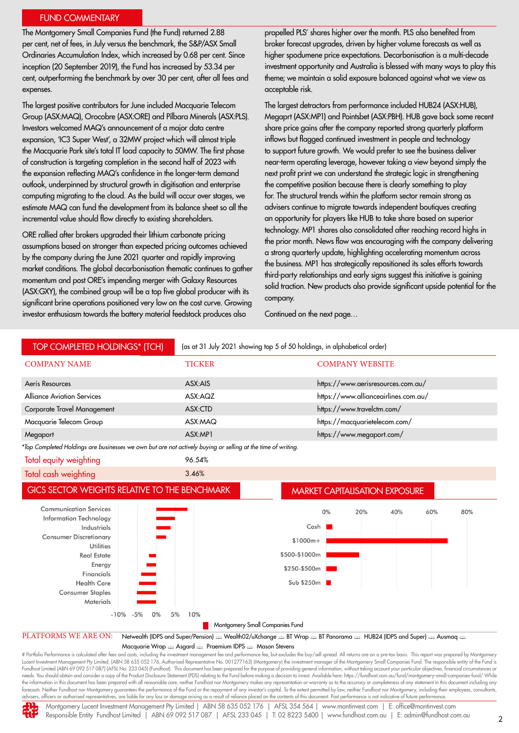#### FUND COMMENTARY

The Montgomery Small Companies Fund (the Fund) returned 2.88 per cent, net of fees, in July versus the benchmark, the S&P/ASX Small Ordinaries Accumulation Index, which increased by 0.68 per cent. Since inception (20 September 2019), the Fund has increased by 53.34 per cent, outperforming the benchmark by over 30 per cent, after all fees and expenses.

The largest positive contributors for June included Macquarie Telecom Group (ASX:MAQ), Orocobre (ASX:ORE) and Pilbara Minerals (ASX:PLS). Investors welcomed MAQ's announcement of a major data centre expansion, 'IC3 Super West', a 32MW project which will almost triple the Macquarie Park site's total IT load capacity to 50MW. The first phase of construction is targeting completion in the second half of 2023 with the expansion reflecting MAQ's confidence in the longer-term demand outlook, underpinned by structural growth in digitisation and enterprise computing migrating to the cloud. As the build will occur over stages, we estimate MAQ can fund the development from its balance sheet so all the incremental value should flow directly to existing shareholders.

ORE rallied after brokers upgraded their lithium carbonate pricing assumptions based on stronger than expected pricing outcomes achieved by the company during the June 2021 quarter and rapidly improving market conditions. The global decarbonisation thematic continues to gather momentum and post ORE's impending merger with Galaxy Resources (ASX:GXY), the combined group will be a top five global producer with its significant brine operations positioned very low on the cost curve. Growing investor enthusiasm towards the battery material feedstock produces also

propelled PLS' shares higher over the month. PLS also benefited from broker forecast upgrades, driven by higher volume forecasts as well as higher spodumene price expectations. Decarbonisation is a multi-decade investment opportunity and Australia is blessed with many ways to play this theme; we maintain a solid exposure balanced against what we view as acceptable risk.

The largest detractors from performance included HUB24 (ASX:HUB), Megaprt (ASX:MP1) and Pointsbet (ASX:PBH). HUB gave back some recent share price gains after the company reported strong quarterly platform inflows but flagged continued investment in people and technology to support future growth. We would prefer to see the business deliver near-term operating leverage, however taking a view beyond simply the next profit print we can understand the strategic logic in strengthening the competitive position because there is clearly something to play for. The structural trends within the platform sector remain strong as advisers continue to migrate towards independent boutiques creating an opportunity for players like HUB to take share based on superior technology. MP1 shares also consolidated after reaching record highs in the prior month. News flow was encouraging with the company delivering a strong quarterly update, highlighting accelerating momentum across the business. MP1 has strategically repositioned its sales efforts towards third-party relationships and early signs suggest this initiative is gaining solid traction. New products also provide significant upside potential for the company.

Continued on the next page…



Fundhost Limited (ABN 69 092 517 087) (AFSL No: 233 045) (Fundhost). This document has been prepared for the purpose of providing general information, without taking account your particular objectives, financial circum needs. You should obtain and consider a copy of the Product Disclosure Statement (PDS) relating to the Fund before making a decision to invest. Available here: https://fundhost.com.au/fund/montgomery-small-companies-fund/ the information in this document has been prepared with all reasonable care, neither Fundhost nor Montgomery makes any representation or warranty as to the accuracy or completeness of any statement in this document includi advisers, officers or authorised representatives, are liable for any loss or damage arising as a result of reliance placed on the contents of this document. Past performance is not indicative of future performance.